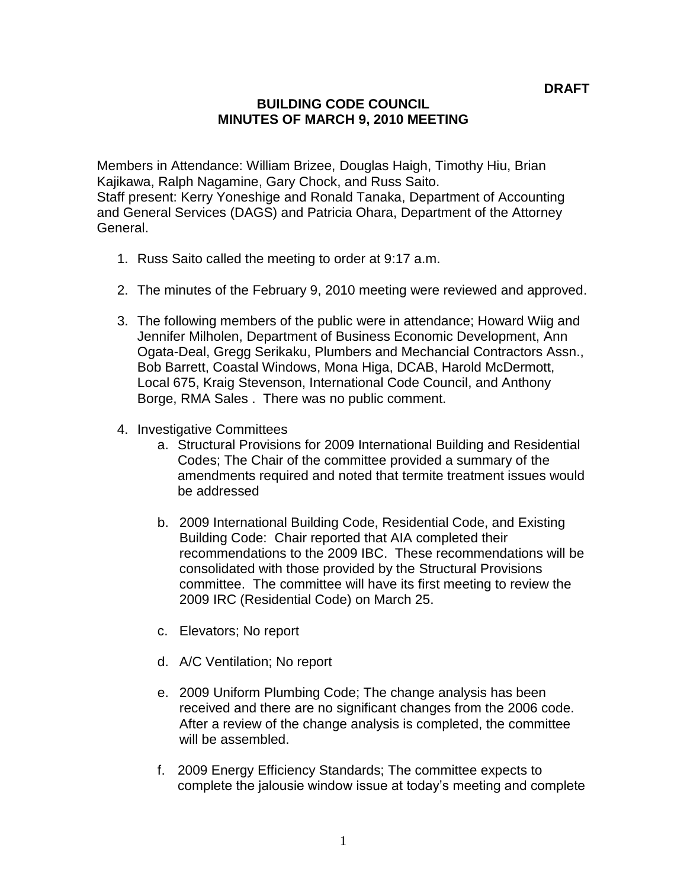## **BUILDING CODE COUNCIL MINUTES OF MARCH 9, 2010 MEETING**

Members in Attendance: William Brizee, Douglas Haigh, Timothy Hiu, Brian Kajikawa, Ralph Nagamine, Gary Chock, and Russ Saito. Staff present: Kerry Yoneshige and Ronald Tanaka, Department of Accounting and General Services (DAGS) and Patricia Ohara, Department of the Attorney General.

- 1. Russ Saito called the meeting to order at 9:17 a.m.
- 2. The minutes of the February 9, 2010 meeting were reviewed and approved.
- 3. The following members of the public were in attendance; Howard Wiig and Jennifer Milholen, Department of Business Economic Development, Ann Ogata-Deal, Gregg Serikaku, Plumbers and Mechancial Contractors Assn., Bob Barrett, Coastal Windows, Mona Higa, DCAB, Harold McDermott, Local 675, Kraig Stevenson, International Code Council, and Anthony Borge, RMA Sales . There was no public comment.
- 4. Investigative Committees
	- a. Structural Provisions for 2009 International Building and Residential Codes; The Chair of the committee provided a summary of the amendments required and noted that termite treatment issues would be addressed
	- b. 2009 International Building Code, Residential Code, and Existing Building Code: Chair reported that AIA completed their recommendations to the 2009 IBC. These recommendations will be consolidated with those provided by the Structural Provisions committee. The committee will have its first meeting to review the 2009 IRC (Residential Code) on March 25.
	- c. Elevators; No report
	- d. A/C Ventilation; No report
	- e. 2009 Uniform Plumbing Code; The change analysis has been received and there are no significant changes from the 2006 code. After a review of the change analysis is completed, the committee will be assembled.
	- f. 2009 Energy Efficiency Standards; The committee expects to complete the jalousie window issue at today's meeting and complete